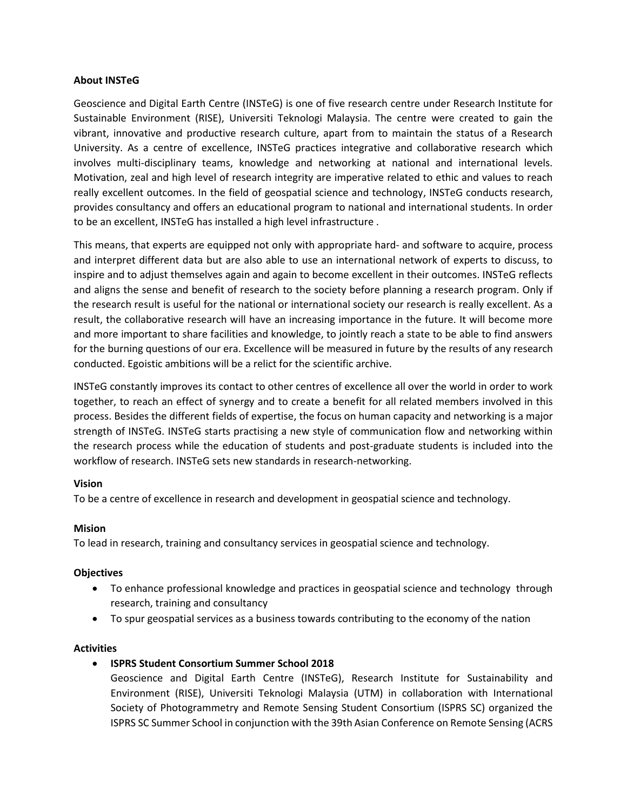# **About INSTeG**

Geoscience and Digital Earth Centre (INSTeG) is one of five research centre under Research Institute for Sustainable Environment (RISE), Universiti Teknologi Malaysia. The centre were created to gain the vibrant, innovative and productive research culture, apart from to maintain the status of a Research University. As a centre of excellence, INSTeG practices integrative and collaborative research which involves multi-disciplinary teams, knowledge and networking at national and international levels. Motivation, zeal and high level of research integrity are imperative related to ethic and values to reach really excellent outcomes. In the field of geospatial science and technology, INSTeG conducts research, provides consultancy and offers an educational program to national and international students. In order to be an excellent, INSTeG has installed a high level infrastructure .

This means, that experts are equipped not only with appropriate hard- and software to acquire, process and interpret different data but are also able to use an international network of experts to discuss, to inspire and to adjust themselves again and again to become excellent in their outcomes. INSTeG reflects and aligns the sense and benefit of research to the society before planning a research program. Only if the research result is useful for the national or international society our research is really excellent. As a result, the collaborative research will have an increasing importance in the future. It will become more and more important to share facilities and knowledge, to jointly reach a state to be able to find answers for the burning questions of our era. Excellence will be measured in future by the results of any research conducted. Egoistic ambitions will be a relict for the scientific archive.

INSTeG constantly improves its contact to other centres of excellence all over the world in order to work together, to reach an effect of synergy and to create a benefit for all related members involved in this process. Besides the different fields of expertise, the focus on human capacity and networking is a major strength of INSTeG. INSTeG starts practising a new style of communication flow and networking within the research process while the education of students and post-graduate students is included into the workflow of research. INSTeG sets new standards in research-networking.

# **Vision**

To be a centre of excellence in research and development in geospatial science and technology.

# **Mision**

To lead in research, training and consultancy services in geospatial science and technology.

# **Objectives**

- To enhance professional knowledge and practices in geospatial science and technology through research, training and consultancy
- To spur geospatial services as a business towards contributing to the economy of the nation

# **Activities**

- **ISPRS Student Consortium Summer School 2018**
	- Geoscience and Digital Earth Centre (INSTeG), Research Institute for Sustainability and Environment (RISE), Universiti Teknologi Malaysia (UTM) in collaboration with International Society of Photogrammetry and Remote Sensing Student Consortium (ISPRS SC) organized the ISPRS SC Summer School in conjunction with the 39th Asian Conference on Remote Sensing (ACRS